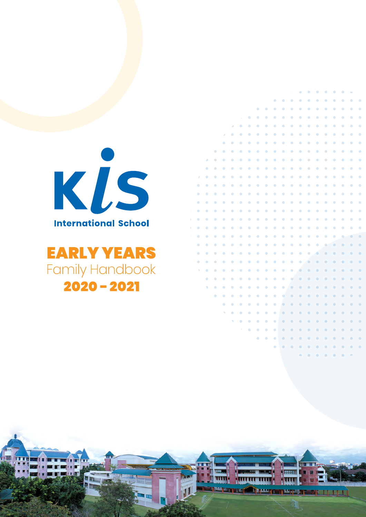

# **EARLY YEARS Family Handbook**  $2020 - 2021$

|                     |               |               |                        |               |               |                          |           |               |               |               |               | $\sim$        | $\bullet$     | $\bullet$ | $\bullet$     | $\bullet$     | $\bullet$     | $\bullet$     | ٠                        |             |
|---------------------|---------------|---------------|------------------------|---------------|---------------|--------------------------|-----------|---------------|---------------|---------------|---------------|---------------|---------------|-----------|---------------|---------------|---------------|---------------|--------------------------|-------------|
|                     |               |               |                        |               |               |                          |           |               |               | $\bullet$     | $\bullet$     | $\bullet$     | $\bullet$     | $\bullet$ | $\bullet$     | $\bullet$     | $\bullet$     | $\bullet$     | $\bullet$                | $\bullet$   |
|                     |               |               |                        |               |               |                          |           | $\bullet$     | $\bullet$     | $\bullet$     | $\bullet$     | $\bullet$     | $\bullet$     | $\bullet$ | $\bullet$     | $\bullet$     | $\bullet$     | $\bullet$     | $\bullet$                | $\bigoplus$ |
|                     |               |               |                        |               |               | J.                       | $\oplus$  | $\bullet$     | $\bullet$     | $\bullet$     | $\bullet$     | $\bullet$     | $\bullet$     | $\bullet$ | $\bullet$     | $\bullet$     | $\bullet$     | $\bullet$     | $\bullet$                | $\bigoplus$ |
|                     |               |               |                        |               | ð             | $\bullet$                | $\oplus$  | $\bullet$     | $\bullet$     | $\bullet$     | $\bullet$     | $\bullet$     | $\bullet$     | $\bullet$ | $\bullet$     | $\bullet$     | ۰             | $\bullet$     | $\bullet$                | $\bigoplus$ |
|                     |               |               |                        | s             | $\bullet$     | $\bullet$                | $\oplus$  | $\bullet$     | ۰             | ۰             | ۰             | ۰             | ۰             | ۰         | $\bullet$     | $\bullet$     | $\bullet$     | $\bullet$     | ۰                        | $\bigoplus$ |
|                     |               |               |                        | $\bullet$     | $\bullet$     | $\bullet$                | $\oplus$  | $\bullet$     | $\bullet$     | $\bullet$     | $\bullet$     | $\bullet$     | $\bullet$     | $\bullet$ | $\bullet$     | $\bullet$     | $\bullet$     | $\bullet$     | $\bullet$                | $\bullet$   |
|                     |               |               | $\bullet$              | ۰             | $\bullet$     | $\bullet$                | $\oplus$  | $\bullet$     | $\bullet$     | ۰             | ۰             | ۰             | ۰             | ۰         | $\bullet$     | $\bullet$     | $\bullet$     | $\bullet$     | $\bullet$                | $\bigoplus$ |
|                     |               | ۵             | $\bullet$              | $\bullet$     | $\bullet$     | $\bullet$                | $\oplus$  | $\bullet$     | $\bullet$     | $\bullet$     | $\bullet$     | $\bullet$     | $\bullet$     | $\bullet$ | $\bullet$     | $\bullet$     | $\bullet$     | $\bullet$     | $\bullet$                | $\bullet$   |
|                     |               | $\bullet$     | $\bullet$              | $\bullet$     | $\bullet$     | $\bullet$                | $\oplus$  | $\bullet$     | $\bullet$     | $\bullet$     | $\bullet$     | $\bullet$     | $\bullet$     | $\bullet$ | $\bullet$     | $\bullet$     | $\bullet$     | $\bullet$     | $\bullet$                | $\bigoplus$ |
|                     | D             | $\bullet$     | $\bullet$              | $\bullet$     | $\bullet$     | $\bullet$                | $\oplus$  | $\bullet$     | $\bullet$     | ۰             | $\bullet$     | $\bullet$     | $\bullet$     | $\bullet$ | $\bullet$     | $\bullet$     | $\bullet$     | $\bullet$     | ۰                        | $\bigoplus$ |
|                     | $\bullet$     | $\bullet$     | $\bullet$              | $\bullet$     | $\bullet$     | $\bullet$                | $\bullet$ | $\bullet$     | $\bullet$     | $\bullet$     | $\bullet$     | $\bullet$     | $\bullet$     | $\bullet$ | $\bullet$     | $\bullet$     | $\bullet$     | $\bullet$     | $\bullet$                | $\bullet$   |
|                     | $\Rightarrow$ | $\Rightarrow$ | $\qquad \qquad \oplus$ | $\Rightarrow$ | $\Rightarrow$ | $\Rightarrow$            | $\oplus$  | $\Rightarrow$ | $\Rightarrow$ | $\Rightarrow$ | $\Rightarrow$ | $\Rightarrow$ | $\Rightarrow$ | $\bullet$ | $\Rightarrow$ | $\Rightarrow$ | $\Rightarrow$ | $\Rightarrow$ | $\qquad \qquad \oplus$   | $\oplus$    |
|                     | $\bullet$     | $\bullet$     | $\bullet$              | $\bullet$     | $\bullet$     | $\bullet$                | $\bullet$ | $\bullet$     | $\bullet$     | $\bullet$     | $\bullet$     | $\bullet$     | $\bullet$     | $\bullet$ | $\bullet$     | $\bullet$     | $\bullet$     | $\bullet$     | $\bullet$                | $\bullet$   |
| Ÿ.                  | $\bullet$     | $\bullet$     | $\bullet$              | $\bullet$     | $\bullet$     | $\bullet$                | $\bullet$ | $\bullet$     | $\bullet$     | $\bullet$     | $\bullet$     | $\bullet$     | $\bullet$     | $\bullet$ | $\bullet$     | $\bullet$     | $\bullet$     | $\bullet$     | $\bullet$                | $\bigoplus$ |
| x                   | $\bullet$     | $\bullet$     | $\bullet$              | ۰             | $\bullet$     | $\bullet$                | $\bullet$ | $\bullet$     | $\bullet$     | $\bullet$     | $\bullet$     | $\bullet$     | $\bullet$     | $\bullet$ | $\bullet$     | $\bullet$     | $\bullet$     | $\bullet$     | $\bullet$                | $\oplus$    |
| Ŷ.                  | $\bullet$     | $\bullet$     | $\bullet$              | $\bullet$     | $\bullet$     | $\bullet$                | $\bullet$ | $\bullet$     | $\bullet$     | $\bullet$     | $\bullet$     | $\bullet$     | $\bullet$     | $\bullet$ | $\bullet$     | $\bullet$     | $\bullet$     | $\bullet$     | $\bullet$                | $\bullet$   |
| $\boldsymbol{\chi}$ | ۰             | ۰             | $\bullet$              | ۰             | ۰             | ۰                        | $\bullet$ | $\bullet$     | ۰             | ۰             | ۰             | ۰             | ۰             | ۰         | ۰             | ۰             | ۰             | ۰             | $\overline{\phantom{a}}$ | $\bullet$   |
|                     | ۰             | $\bullet$     | $\bullet$              | $\bullet$     | $\bullet$     | $\bullet$                | $\oplus$  | $\bullet$     | $\bullet$     | $\bullet$     | $\bullet$     | $\bullet$     | $\bullet$     | $\bullet$ | $\bullet$     | ۰             | $\bullet$     | $\bullet$     | $\bullet$                | $\bigoplus$ |
|                     | $\bullet$     | $\bullet$     | $\bullet$              | $\bullet$     | $\bullet$     | $\bullet$                | $\oplus$  | $\bullet$     | $\bullet$     | $\bullet$     | $\bullet$     | $\bullet$     | $\bullet$     | $\bullet$ | ۰             | $\bullet$     | $\bullet$     | $\bullet$     | $\bullet$                | $\bullet$   |
|                     | $\bullet$     | $\bullet$     | $\bullet$              | $\bullet$     | $\bullet$     | $\bullet$                | $\oplus$  | $\bullet$     | $\bullet$     | ۰             | $\bullet$     | $\bullet$     | $\bullet$     | $\bullet$ | $\bullet$     | $\bullet$     | $\bullet$     | $\bullet$     | $\bullet$                | $\bullet$   |
|                     | ٧             | $\bullet$     | $\bullet$              | $\bullet$     | $\bullet$     | $\bullet$                | $\bullet$ | $\bullet$     | $\bullet$     | $\bullet$     | $\bullet$     | $\bullet$     | ۰             | $\bullet$ | $\bullet$     | $\bullet$     | $\bullet$     | $\bullet$     | $\bullet$                | $\bullet$   |
|                     |               | $\bullet$     | $\bullet$              | $\bullet$     | $\bullet$     | $\bullet$                | $\oplus$  | $\bullet$     | $\bullet$     | $\bullet$     | $\bullet$     | $\bullet$     | $\bullet$     | $\bullet$ | $\bullet$     | $\bullet$     | $\bullet$     | $\bullet$     | $\bullet$                | $\bullet$   |
|                     |               | ۷             | $\bullet$              | $\bullet$     | $\bullet$     | $\bullet$                | $\bullet$ | $\bullet$     | $\bullet$     | $\bullet$     | $\bullet$     | $\bullet$     | $\bullet$     | $\bullet$ | $\bullet$     | $\bullet$     | $\bullet$     | $\bullet$     | $\bullet$                | $\bigoplus$ |
|                     |               |               | $\bullet$              | $\bullet$     | $\bullet$     | ۰                        | $\bullet$ | $\bullet$     | $\bullet$     | $\bullet$     | $\bullet$     | $\bullet$     | $\bullet$     | $\bullet$ | $\bullet$     | $\bullet$     | $\bullet$     | $\bullet$     | $\bullet$                | $\bigoplus$ |
|                     |               |               |                        | $\Rightarrow$ | $\Rightarrow$ | $\Rightarrow$            | $\oplus$  | $\bullet$     | $\Rightarrow$ | $\Rightarrow$ | $\Rightarrow$ | $\bullet$     | $\Rightarrow$ | $\bullet$ | $\bullet$     | $\bullet$     | $\Rightarrow$ | $\Rightarrow$ | $\bullet$                | $\oplus$    |
|                     |               |               |                        | N             | $\bullet$     | $\bullet$                | $\oplus$  | $\bullet$     | $\bullet$     | $\bullet$     | $\bullet$     | $\bullet$     | $\bullet$     | $\bullet$ | $\bullet$     | $\bullet$     | $\bullet$     | $\bullet$     | $\bullet$                | $\bullet$   |
|                     |               |               |                        |               | ٩             | $\bullet$                | $\oplus$  | $\bullet$     | $\bullet$     | $\bullet$     | $\bullet$     | $\bullet$     | $\bullet$     | $\bullet$ | $\bullet$     | $\bullet$     | $\bullet$     | $\bullet$     | $\bullet$                | $\bullet$   |
|                     |               |               |                        |               |               | $\mathcal{S}_\mathrm{c}$ | $\oplus$  | $\bullet$     | ۰             | ۰             | $\bullet$     | $\bullet$     | $\bullet$     | $\bullet$ | $\bullet$     | $\bullet$     | $\bullet$     | $\bullet$     | $\bullet$                | $\bigoplus$ |
|                     |               |               |                        |               |               |                          |           | $\bullet$     | $\bullet$     | $\bullet$     | $\bullet$     | $\bullet$     | $\bullet$     | $\bullet$ | $\bullet$     | $\bullet$     | $\bullet$     | $\bullet$     | $\bullet$                | $\bigoplus$ |
|                     |               |               |                        |               |               |                          |           |               |               | $\bullet$     | $\bullet$     | $\bullet$     | $\bullet$     | $\bullet$ | $\bullet$     | $\bullet$     | $\bullet$     | $\bullet$     | $\bullet$                | $\bullet$   |

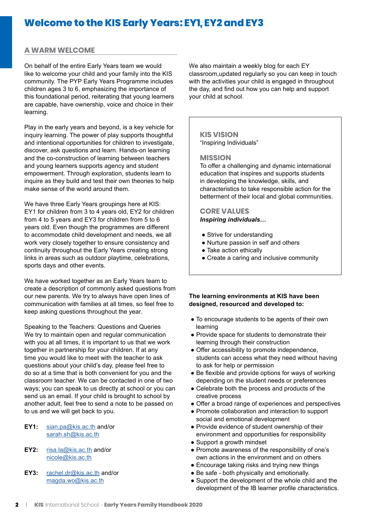## **Welcome to the KIS Early Years: EY1, EY2 and EY3**

## **A WARM WELCOME**

On behalf of the entire Early Years team we would like to welcome your child and your family into the KIS community. The PYP Early Years Programme includes children ages 3 to 6, emphasizing the importance of this foundational period, reiterating that young learners are capable, have ownership, voice and choice in their learning.

Play in the early years and beyond, is a key vehicle for inquiry learning. The power of play supports thoughtful and intentional opportunities for children to investigate, discover, ask questions and learn. Hands-on learning and the co-construction of learning between teachers and young learners supports agency and student empowerment. Through exploration, students learn to inquire as they build and test their own theories to help make sense of the world around them.

We have three Early Years groupings here at KIS: EY1 for children from 3 to 4 years old, EY2 for children from 4 to 5 years and EY3 for children from 5 to 6 years old. Even though the programmes are different to accommodate child development and needs, we all work very closely together to ensure consistency and continuity throughout the Early Years creating strong links in areas such as outdoor playtime, celebrations, sports days and other events.

We have worked together as an Early Years team to create a description of commonly asked questions from our new parents. We try to always have open lines of communication with families at all times, so feel free to keep asking questions throughout the year.

Speaking to the Teachers: Questions and Queries We try to maintain open and regular communication with you at all times, it is important to us that we work together in partnership for your children. If at any time you would like to meet with the teacher to ask questions about your child's day, please feel free to do so at a time that is both convenient for you and the classroom teacher. We can be contacted in one of two ways; you can speak to us directly at school or you can send us an email. If your child is brought to school by another adult, feel free to send a note to be passed on to us and we will get back to you.

- **EY1:** [sian.pa@kis.ac.th](mailto:sian.pa%40kis.ac.th?subject=) and/or [sarah.sh@kis.ac.th](mailto:sarah.sh%40kis.ac.th?subject=)
- **EY2:** [risa.la@kis.ac.th](mailto:risa.la%40kis.ac.th?subject=) and/or [nicole@kis.ac.th](mailto:nicole%40kis.ac.th?subject=)
- **EY3:** [rachel.dr@kis.ac.th](mailto:rachel.dr%40kis.ac.th?subject=) and/or [magda.wo@kis.ac.th](mailto:magda.wo%40kis.ac.th?subject=)

We also maintain a weekly blog for each EY classroom,updated regularly so you can keep in touch with the activities your child is engaged in throughout the day, and find out how you can help and support your child at school.

## **KIS VISION**

"Inspiring Individuals"

## **MISSION**

To offer a challenging and dynamic international education that inspires and supports students in developing the knowledge, skills, and characteristics to take responsible action for the betterment of their local and global communities.

### **CORE VALUES** *Inspiring individuals…*

- Strive for understanding
- Nurture passion in self and others
- Take action ethically
- Create a caring and inclusive community

## **The learning environments at KIS have been designed, resourced and developed to:**

- To encourage students to be agents of their own learning
- Provide space for students to demonstrate their learning through their construction
- Offer accessibility to promote independence, students can access what they need without having to ask for help or permission
- Be flexible and provide options for ways of working depending on the student needs or preferences
- Celebrate both the process and products of the creative process
- Offer a broad range of experiences and perspectives
- Promote collaboration and interaction to support social and emotional development
- Provide evidence of student ownership of their environment and opportunities for responsibility
- Support a growth mindset
- Promote awareness of the responsibility of one's own actions in the environment and on others
- Encourage taking risks and trying new things
- Be safe both physically and emotionally.
- Support the development of the whole child and the development of the IB learner profile characteristics.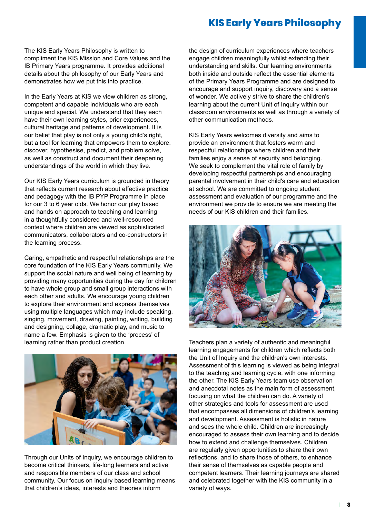## **KIS Early Years Philosophy**

The KIS Early Years Philosophy is written to compliment the KIS Mission and Core Values and the IB Primary Years programme. It provides additional details about the philosophy of our Early Years and demonstrates how we put this into practice.

In the Early Years at KIS we view children as strong, competent and capable individuals who are each unique and special. We understand that they each have their own learning styles, prior experiences, cultural heritage and patterns of development. It is our belief that play is not only a young child's right, but a tool for learning that empowers them to explore, discover, hypothesise, predict, and problem solve, as well as construct and document their deepening understandings of the world in which they live.

Our KIS Early Years curriculum is grounded in theory that reflects current research about effective practice and pedagogy with the IB PYP Programme in place for our 3 to 6 year olds. We honor our play based and hands on approach to teaching and learning in a thoughtfully considered and well-resourced context where children are viewed as sophisticated communicators, collaborators and co-constructors in the learning process.

Caring, empathetic and respectful relationships are the core foundation of the KIS Early Years community. We support the social nature and well being of learning by providing many opportunities during the day for children to have whole group and small group interactions with each other and adults. We encourage young children to explore their environment and express themselves using multiple languages which may include speaking, singing, movement, drawing, painting, writing, building and designing, collage, dramatic play, and music to name a few. Emphasis is given to the 'process' of learning rather than product creation.



Through our Units of Inquiry, we encourage children to become critical thinkers, life-long learners and active and responsible members of our class and school community. Our focus on inquiry based learning means that children's ideas, interests and theories inform

the design of curriculum experiences where teachers engage children meaningfully whilst extending their understanding and skills. Our learning environments both inside and outside reflect the essential elements of the Primary Years Programme and are designed to encourage and support inquiry, discovery and a sense of wonder. We actively strive to share the children's learning about the current Unit of Inquiry within our classroom environments as well as through a variety of other communication methods.

KIS Early Years welcomes diversity and aims to provide an environment that fosters warm and respectful relationships where children and their families enjoy a sense of security and belonging. We seek to complement the vital role of family by developing respectful partnerships and encouraging parental involvement in their child's care and education at school. We are committed to ongoing student assessment and evaluation of our programme and the environment we provide to ensure we are meeting the needs of our KIS children and their families.



Teachers plan a variety of authentic and meaningful learning engagements for children which reflects both the Unit of Inquiry and the children's own interests. Assessment of this learning is viewed as being integral to the teaching and learning cycle, with one informing the other. The KIS Early Years team use observation and anecdotal notes as the main form of assessment, focusing on what the children can do. A variety of other strategies and tools for assessment are used that encompasses all dimensions of children's learning and development. Assessment is holistic in nature and sees the whole child. Children are increasingly encouraged to assess their own learning and to decide how to extend and challenge themselves. Children are regularly given opportunities to share their own reflections, and to share those of others, to enhance their sense of themselves as capable people and competent learners. Their learning journeys are shared and celebrated together with the KIS community in a variety of ways.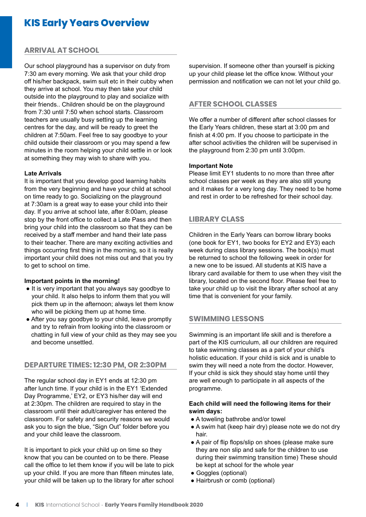## **KIS Early Years Overview**

## **ARRIVAL AT SCHOOL**

Our school playground has a supervisor on duty from 7:30 am every morning. We ask that your child drop off his/her backpack, swim suit etc in their cubby when they arrive at school. You may then take your child outside into the playground to play and socialize with their friends.. Children should be on the playground from 7:30 until 7:50 when school starts. Classroom teachers are usually busy setting up the learning centres for the day, and will be ready to greet the children at 7:50am. Feel free to say goodbye to your child outside their classroom or you may spend a few minutes in the room helping your child settle in or look at something they may wish to share with you.

### **Late Arrivals**

It is important that you develop good learning habits from the very beginning and have your child at school on time ready to go. Socializing on the playground at 7:30am is a great way to ease your child into their day. If you arrive at school late, after 8:00am, please stop by the front office to collect a Late Pass and then bring your child into the classroom so that they can be received by a staff member and hand their late pass to their teacher. There are many exciting activities and things occurring first thing in the morning, so it is really important your child does not miss out and that you try to get to school on time.

#### **Important points in the morning!**

- It is very important that you always say goodbye to your child. It also helps to inform them that you will pick them up in the afternoon; always let them know who will be picking them up at home time.
- After you say goodbye to your child, leave promptly and try to refrain from looking into the classroom or chatting in full view of your child as they may see you and become unsettled.

## **DEPARTURE TIMES: 12:30 PM, OR 2:30PM**

The regular school day in EY1 ends at 12:30 pm after lunch time. If your child is in the EY1 'Extended Day Programme,' EY2, or EY3 his/her day will end at 2:30pm. The children are required to stay in the classroom until their adult/caregiver has entered the classroom. For safety and security reasons we would ask you to sign the blue, "Sign Out" folder before you and your child leave the classroom.

It is important to pick your child up on time so they know that you can be counted on to be there. Please call the office to let them know if you will be late to pick up your child. If you are more than fifteen minutes late, your child will be taken up to the library for after school

supervision. If someone other than yourself is picking up your child please let the office know. Without your permission and notification we can not let your child go.

## **AFTER SCHOOL CLASSES**

We offer a number of different after school classes for the Early Years children, these start at 3:00 pm and finish at 4:00 pm. If you choose to participate in the after school activities the children will be supervised in the playground from 2:30 pm until 3:00pm.

### **Important Note**

Please limit EY1 students to no more than three after school classes per week as they are also still young and it makes for a very long day. They need to be home and rest in order to be refreshed for their school day.

## **LIBRARY CLASS**

Children in the Early Years can borrow library books (one book for EY1, two books for EY2 and EY3) each week during class library sessions. The book(s) must be returned to school the following week in order for a new one to be issued. All students at KIS have a library card available for them to use when they visit the library, located on the second floor. Please feel free to take your child up to visit the library after school at any time that is convenient for your family.

## **SWIMMING LESSONS**

Swimming is an important life skill and is therefore a part of the KIS curriculum, all our children are required to take swimming classes as a part of your child's holistic education. If your child is sick and is unable to swim they will need a note from the doctor. However, If your child is sick they should stay home until they are well enough to participate in all aspects of the programme.

## **Each child will need the following items for their swim days:**

- A toweling bathrobe and/or towel
- A swim hat (keep hair dry) please note we do not dry hair.
- A pair of flip flops/slip on shoes (please make sure they are non slip and safe for the children to use during their swimming transition time) These should be kept at school for the whole year
- Goggles (optional)
- Hairbrush or comb (optional)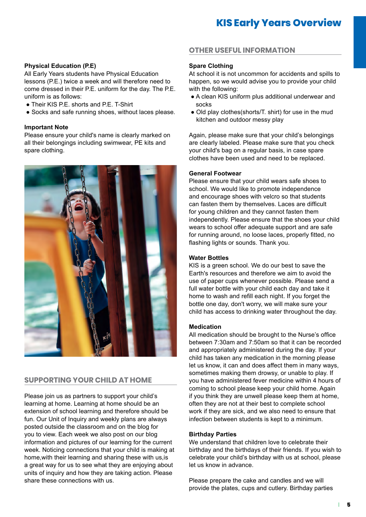## **Physical Education (P.E)**

All Early Years students have Physical Education lessons (P.E.) twice a week and will therefore need to come dressed in their P.E. uniform for the day. The P.E. uniform is as follows:

- Their KIS P.E. shorts and P.E. T-Shirt
- Socks and safe running shoes, without laces please.

#### **Important Note**

Please ensure your child's name is clearly marked on all their belongings including swimwear, PE kits and spare clothing.



## **SUPPORTING YOUR CHILD AT HOME**

Please join us as partners to support your child's learning at home. Learning at home should be an extension of school learning and therefore should be fun. Our Unit of Inquiry and weekly plans are always posted outside the classroom and on the blog for you to view. Each week we also post on our blog information and pictures of our learning for the current week. Noticing connections that your child is making at home,with their learning and sharing these with us,is a great way for us to see what they are enjoying about units of inquiry and how they are taking action. Please share these connections with us.

## **OTHER USEFUL INFORMATION**

### **Spare Clothing**

At school it is not uncommon for accidents and spills to happen, so we would advise you to provide your child with the following:

- A clean KIS uniform plus additional underwear and socks
- Old play clothes(shorts/T. shirt) for use in the mud kitchen and outdoor messy play

Again, please make sure that your child's belongings are clearly labeled. Please make sure that you check your child's bag on a regular basis, in case spare clothes have been used and need to be replaced.

## **General Footwear**

Please ensure that your child wears safe shoes to school. We would like to promote independence and encourage shoes with velcro so that students can fasten them by themselves. Laces are difficult for young children and they cannot fasten them independently. Please ensure that the shoes your child wears to school offer adequate support and are safe for running around, no loose laces, properly fitted, no flashing lights or sounds. Thank you.

#### **Water Bottles**

KIS is a green school. We do our best to save the Earth's resources and therefore we aim to avoid the use of paper cups whenever possible. Please send a full water bottle with your child each day and take it home to wash and refill each night. If you forget the bottle one day, don't worry, we will make sure your child has access to drinking water throughout the day.

#### **Medication**

All medication should be brought to the Nurse's office between 7:30am and 7:50am so that it can be recorded and appropriately administered during the day. If your child has taken any medication in the morning please let us know, it can and does affect them in many ways, sometimes making them drowsy, or unable to play. If you have administered fever medicine within 4 hours of coming to school please keep your child home. Again if you think they are unwell please keep them at home, often they are not at their best to complete school work if they are sick, and we also need to ensure that infection between students is kept to a minimum.

#### **Birthday Parties**

We understand that children love to celebrate their birthday and the birthdays of their friends. If you wish to celebrate your child's birthday with us at school, please let us know in advance.

Please prepare the cake and candles and we will provide the plates, cups and cutlery. Birthday parties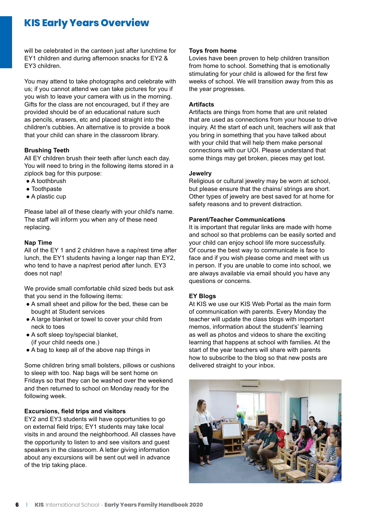## **KIS Early Years Overview**

will be celebrated in the canteen just after lunchtime for EY1 children and during afternoon snacks for EY2 & EY3 children.

You may attend to take photographs and celebrate with us; if you cannot attend we can take pictures for you if you wish to leave your camera with us in the morning. Gifts for the class are not encouraged, but if they are provided should be of an educational nature such as pencils, erasers, etc and placed straight into the children's cubbies. An alternative is to provide a book that your child can share in the classroom library.

## **Brushing Teeth**

All EY children brush their teeth after lunch each day. You will need to bring in the following items stored in a ziplock bag for this purpose:

- A toothbrush
- Toothpaste
- A plastic cup

Please label all of these clearly with your child's name. The staff will inform you when any of these need replacing.

## **Nap Time**

All of the EY 1 and 2 children have a nap/rest time after lunch, the EY1 students having a longer nap than EY2, who tend to have a nap/rest period after lunch. EY3 does not nap!

We provide small comfortable child sized beds but ask that you send in the following items:

- A small sheet and pillow for the bed, these can be bought at Student services
- A large blanket or towel to cover your child from neck to toes
- A soft sleep toy/special blanket, (if your child needs one.)
- A bag to keep all of the above nap things in

Some children bring small bolsters, pillows or cushions to sleep with too. Nap bags will be sent home on Fridays so that they can be washed over the weekend and then returned to school on Monday ready for the following week.

## **Excursions, field trips and visitors**

EY2 and EY3 students will have opportunities to go on external field trips; EY1 students may take local visits in and around the neighborhood. All classes have the opportunity to listen to and see visitors and guest speakers in the classroom. A letter giving information about any excursions will be sent out well in advance of the trip taking place.

#### **Toys from home**

Lovies have been proven to help children transition from home to school. Something that is emotionally stimulating for your child is allowed for the first few weeks of school. We will transition away from this as the year progresses.

## **Artifacts**

Artifacts are things from home that are unit related that are used as connections from your house to drive inquiry. At the start of each unit, teachers will ask that you bring in something that you have talked about with your child that will help them make personal connections with our UOI. Please understand that some things may get broken, pieces may get lost.

#### **Jewelry**

Religious or cultural jewelry may be worn at school, but please ensure that the chains/ strings are short. Other types of jewelry are best saved for at home for safety reasons and to prevent distraction.

### **Parent/Teacher Communications**

It is important that regular links are made with home and school so that problems can be easily sorted and your child can enjoy school life more successfully. Of course the best way to communicate is face to face and if you wish please come and meet with us in person. If you are unable to come into school, we are always available via email should you have any questions or concerns.

#### **EY Blogs**

At KIS we use our KIS Web Portal as the main form of communication with parents. Every Monday the teacher will update the class blogs with important memos, information about the student's' learning as well as photos and videos to share the exciting learning that happens at school with families. At the start of the year teachers will share with parents how to subscribe to the blog so that new posts are delivered straight to your inbox.

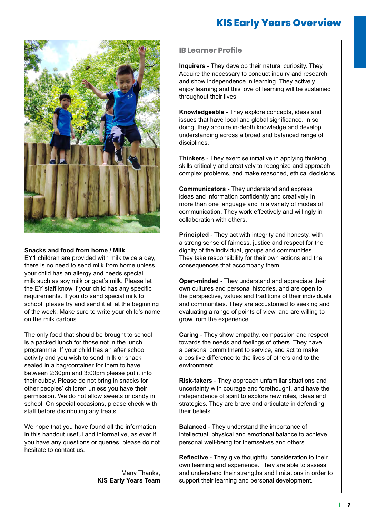

## **Snacks and food from home / Milk**

EY1 children are provided with milk twice a day, there is no need to send milk from home unless your child has an allergy and needs special milk such as soy milk or goat's milk. Please let the EY staff know if your child has any specific requirements. If you do send special milk to school, please try and send it all at the beginning of the week. Make sure to write your child's name on the milk cartons.

The only food that should be brought to school is a packed lunch for those not in the lunch programme. If your child has an after school activity and you wish to send milk or snack sealed in a bag/container for them to have between 2:30pm and 3:00pm please put it into their cubby. Please do not bring in snacks for other peoples' children unless you have their permission. We do not allow sweets or candy in school. On special occasions, please check with staff before distributing any treats.

We hope that you have found all the information in this handout useful and informative, as ever if you have any questions or queries, please do not hesitate to contact us.

> Many Thanks, **KIS Early Years Team**

## **IB Learner Profile**

**Inquirers** - They develop their natural curiosity. They Acquire the necessary to conduct inquiry and research and show independence in learning. They actively enjoy learning and this love of learning will be sustained throughout their lives.

**Knowledgeable** - They explore concepts, ideas and issues that have local and global significance. In so doing, they acquire in-depth knowledge and develop understanding across a broad and balanced range of disciplines.

**Thinkers** - They exercise initiative in applying thinking skills critically and creatively to recognize and approach complex problems, and make reasoned, ethical decisions.

**Communicators** - They understand and express ideas and information confidently and creatively in more than one language and in a variety of modes of communication. They work effectively and willingly in collaboration with others.

**Principled** - They act with integrity and honesty, with a strong sense of fairness, justice and respect for the dignity of the individual, groups and communities. They take responsibility for their own actions and the consequences that accompany them.

**Open-minded** - They understand and appreciate their own cultures and personal histories, and are open to the perspective, values and traditions of their individuals and communities. They are accustomed to seeking and evaluating a range of points of view, and are willing to grow from the experience.

**Caring** - They show empathy, compassion and respect towards the needs and feelings of others. They have a personal commitment to service, and act to make a positive difference to the lives of others and to the environment.

**Risk-takers** - They approach unfamiliar situations and uncertainty with courage and forethought, and have the independence of spirit to explore new roles, ideas and strategies. They are brave and articulate in defending their beliefs.

**Balanced** - They understand the importance of intellectual, physical and emotional balance to achieve personal well-being for themselves and others.

**Reflective** - They give thoughtful consideration to their own learning and experience. They are able to assess and understand their strengths and limitations in order to support their learning and personal development.